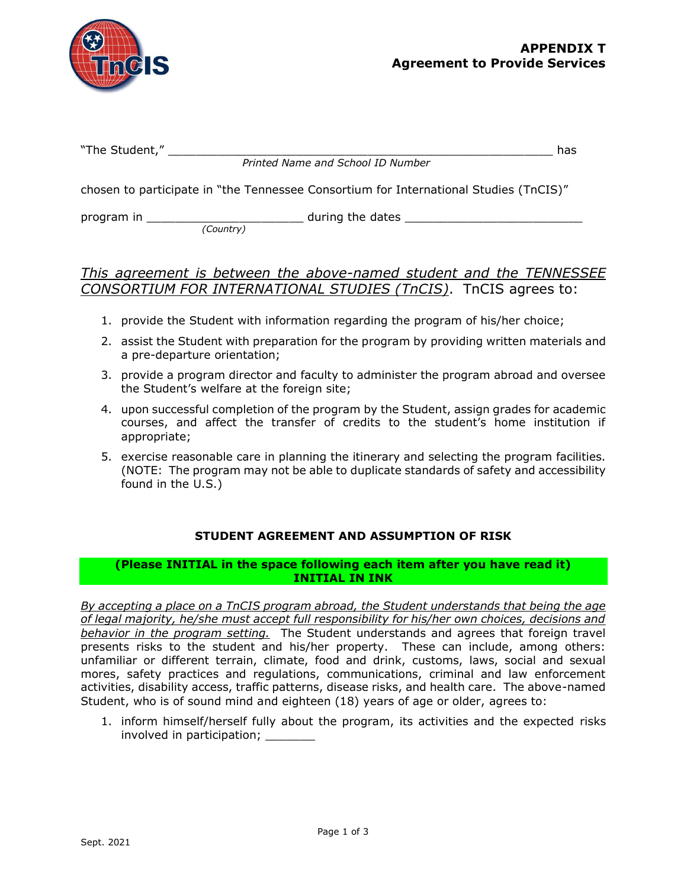

| "The Student,"                                                                        | has |
|---------------------------------------------------------------------------------------|-----|
| Printed Name and School ID Number                                                     |     |
| chosen to participate in "the Tennessee Consortium for International Studies (TnCIS)" |     |

program in \_\_\_\_\_\_\_\_\_\_\_\_\_\_\_\_\_\_\_\_\_\_ during the dates \_\_\_\_\_\_\_\_\_\_\_\_\_\_\_\_\_\_\_\_\_\_\_\_\_

#### *(Country)*

# *This agreement is between the above-named student and the TENNESSEE CONSORTIUM FOR INTERNATIONAL STUDIES (TnCIS)*. TnCIS agrees to:

- 1. provide the Student with information regarding the program of his/her choice;
- 2. assist the Student with preparation for the program by providing written materials and a pre-departure orientation;
- 3. provide a program director and faculty to administer the program abroad and oversee the Student's welfare at the foreign site;
- 4. upon successful completion of the program by the Student, assign grades for academic courses, and affect the transfer of credits to the student's home institution if appropriate;
- 5. exercise reasonable care in planning the itinerary and selecting the program facilities. (NOTE: The program may not be able to duplicate standards of safety and accessibility found in the U.S.)

# **STUDENT AGREEMENT AND ASSUMPTION OF RISK**

#### **(Please INITIAL in the space following each item after you have read it) INITIAL IN INK**

*By accepting a place on a TnCIS program abroad, the Student understands that being the age of legal majority, he/she must accept full responsibility for his/her own choices, decisions and behavior in the program setting.* The Student understands and agrees that foreign travel presents risks to the student and his/her property. These can include, among others: unfamiliar or different terrain, climate, food and drink, customs, laws, social and sexual mores, safety practices and regulations, communications, criminal and law enforcement activities, disability access, traffic patterns, disease risks, and health care. The above-named Student, who is of sound mind and eighteen (18) years of age or older, agrees to:

1. inform himself/herself fully about the program, its activities and the expected risks involved in participation;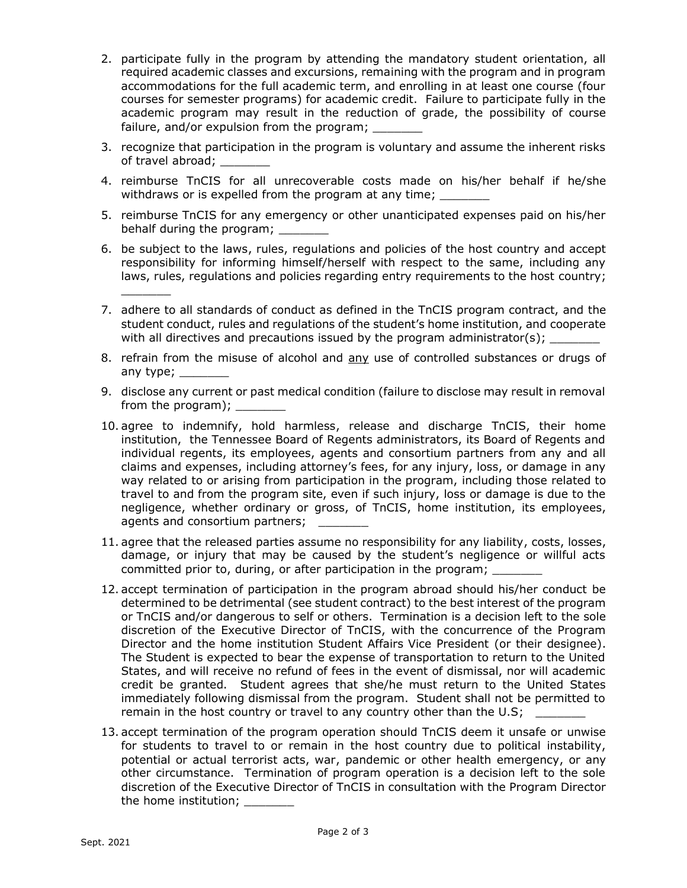- 2. participate fully in the program by attending the mandatory student orientation, all required academic classes and excursions, remaining with the program and in program accommodations for the full academic term, and enrolling in at least one course (four courses for semester programs) for academic credit. Failure to participate fully in the academic program may result in the reduction of grade, the possibility of course failure, and/or expulsion from the program;
- 3. recognize that participation in the program is voluntary and assume the inherent risks of travel abroad; \_
- 4. reimburse TnCIS for all unrecoverable costs made on his/her behalf if he/she withdraws or is expelled from the program at any time;
- 5. reimburse TnCIS for any emergency or other unanticipated expenses paid on his/her behalf during the program;
- 6. be subject to the laws, rules, regulations and policies of the host country and accept responsibility for informing himself/herself with respect to the same, including any laws, rules, regulations and policies regarding entry requirements to the host country;
- 7. adhere to all standards of conduct as defined in the TnCIS program contract, and the student conduct, rules and regulations of the student's home institution, and cooperate with all directives and precautions issued by the program administrator(s);
- 8. refrain from the misuse of alcohol and any use of controlled substances or drugs of any type;
- 9. disclose any current or past medical condition (failure to disclose may result in removal from the program);
- 10. agree to indemnify, hold harmless, release and discharge TnCIS, their home institution, the Tennessee Board of Regents administrators, its Board of Regents and individual regents, its employees, agents and consortium partners from any and all claims and expenses, including attorney's fees, for any injury, loss, or damage in any way related to or arising from participation in the program, including those related to travel to and from the program site, even if such injury, loss or damage is due to the negligence, whether ordinary or gross, of TnCIS, home institution, its employees, agents and consortium partners;
- 11. agree that the released parties assume no responsibility for any liability, costs, losses, damage, or injury that may be caused by the student's negligence or willful acts committed prior to, during, or after participation in the program;
- 12. accept termination of participation in the program abroad should his/her conduct be determined to be detrimental (see student contract) to the best interest of the program or TnCIS and/or dangerous to self or others. Termination is a decision left to the sole discretion of the Executive Director of TnCIS, with the concurrence of the Program Director and the home institution Student Affairs Vice President (or their designee). The Student is expected to bear the expense of transportation to return to the United States, and will receive no refund of fees in the event of dismissal, nor will academic credit be granted. Student agrees that she/he must return to the United States immediately following dismissal from the program. Student shall not be permitted to remain in the host country or travel to any country other than the U.S;
- 13. accept termination of the program operation should TnCIS deem it unsafe or unwise for students to travel to or remain in the host country due to political instability, potential or actual terrorist acts, war, pandemic or other health emergency, or any other circumstance. Termination of program operation is a decision left to the sole discretion of the Executive Director of TnCIS in consultation with the Program Director the home institution;

 $\mathcal{L}$